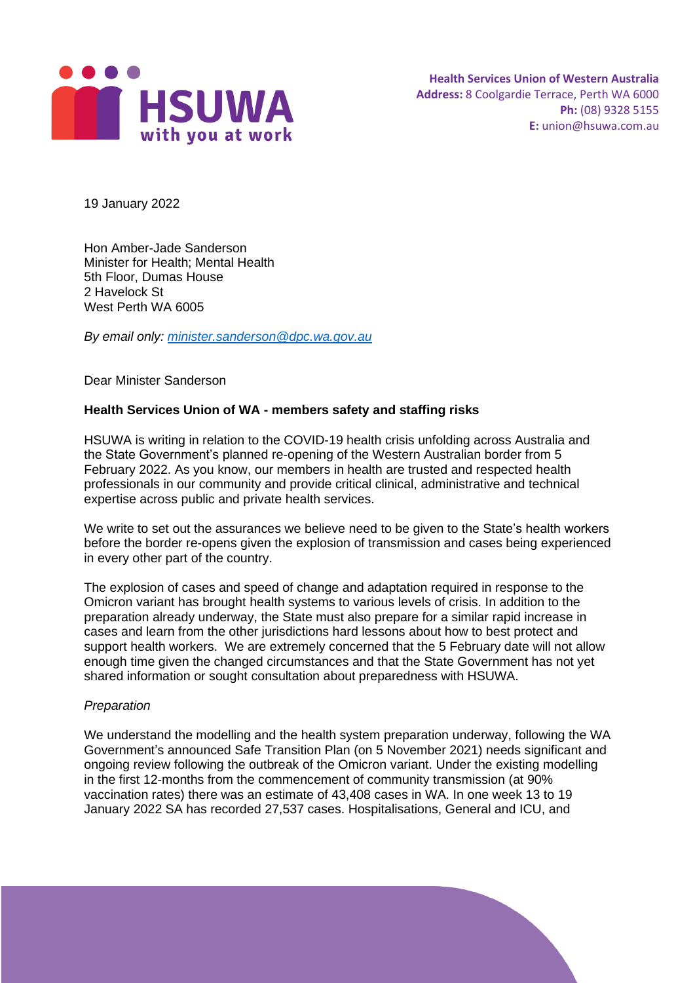

19 January 2022

Hon Amber-Jade Sanderson Minister for Health; Mental Health 5th Floor, Dumas House 2 Havelock St West Perth WA 6005

*By email only: [minister.sanderson@dpc.wa.gov.au](mailto:minister.jadesanderson@dpc.wa.gov.au)*

Dear Minister Sanderson

## **Health Services Union of WA - members safety and staffing risks**

HSUWA is writing in relation to the COVID-19 health crisis unfolding across Australia and the State Government's planned re-opening of the Western Australian border from 5 February 2022. As you know, our members in health are trusted and respected health professionals in our community and provide critical clinical, administrative and technical expertise across public and private health services.

We write to set out the assurances we believe need to be given to the State's health workers before the border re-opens given the explosion of transmission and cases being experienced in every other part of the country.

The explosion of cases and speed of change and adaptation required in response to the Omicron variant has brought health systems to various levels of crisis. In addition to the preparation already underway, the State must also prepare for a similar rapid increase in cases and learn from the other jurisdictions hard lessons about how to best protect and support health workers. We are extremely concerned that the 5 February date will not allow enough time given the changed circumstances and that the State Government has not yet shared information or sought consultation about preparedness with HSUWA.

#### *Preparation*

We understand the modelling and the health system preparation underway, following the WA Government's announced Safe Transition Plan (on 5 November 2021) needs significant and ongoing review following the outbreak of the Omicron variant. Under the existing modelling in the first 12-months from the commencement of community transmission (at 90% vaccination rates) there was an estimate of 43,408 cases in WA. In one week 13 to 19 January 2022 SA has recorded 27,537 cases. Hospitalisations, General and ICU, and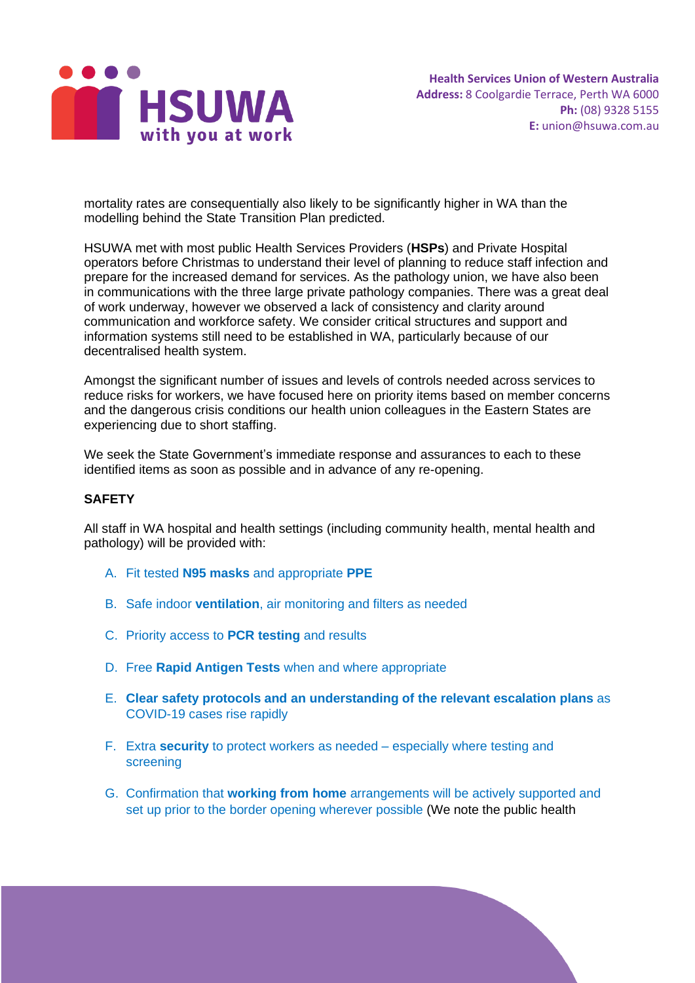

mortality rates are consequentially also likely to be significantly higher in WA than the modelling behind the State Transition Plan predicted.

HSUWA met with most public Health Services Providers (**HSPs**) and Private Hospital operators before Christmas to understand their level of planning to reduce staff infection and prepare for the increased demand for services. As the pathology union, we have also been in communications with the three large private pathology companies. There was a great deal of work underway, however we observed a lack of consistency and clarity around communication and workforce safety. We consider critical structures and support and information systems still need to be established in WA, particularly because of our decentralised health system.

Amongst the significant number of issues and levels of controls needed across services to reduce risks for workers, we have focused here on priority items based on member concerns and the dangerous crisis conditions our health union colleagues in the Eastern States are experiencing due to short staffing.

We seek the State Government's immediate response and assurances to each to these identified items as soon as possible and in advance of any re-opening.

#### **SAFETY**

All staff in WA hospital and health settings (including community health, mental health and pathology) will be provided with:

- A. Fit tested **N95 masks** and appropriate **PPE**
- B. Safe indoor **ventilation**, air monitoring and filters as needed
- C. Priority access to **PCR testing** and results
- D. Free **Rapid Antigen Tests** when and where appropriate
- E. **Clear safety protocols and an understanding of the relevant escalation plans** as COVID-19 cases rise rapidly
- F. Extra **security** to protect workers as needed especially where testing and screening
- G. Confirmation that **working from home** arrangements will be actively supported and set up prior to the border opening wherever possible (We note the public health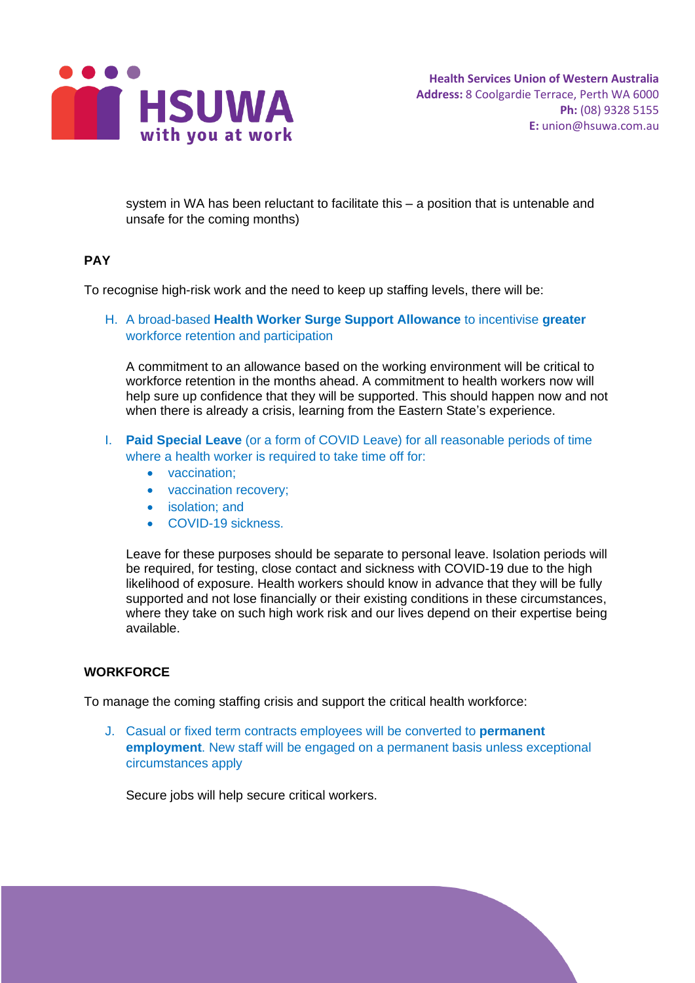

system in WA has been reluctant to facilitate this – a position that is untenable and unsafe for the coming months)

# **PAY**

To recognise high-risk work and the need to keep up staffing levels, there will be:

H. A broad-based **Health Worker Surge Support Allowance** to incentivise **greater** workforce retention and participation

A commitment to an allowance based on the working environment will be critical to workforce retention in the months ahead. A commitment to health workers now will help sure up confidence that they will be supported. This should happen now and not when there is already a crisis, learning from the Eastern State's experience.

- I. **Paid Special Leave** (or a form of COVID Leave) for all reasonable periods of time where a health worker is required to take time off for:
	- vaccination;
	- vaccination recovery;
	- isolation: and
	- COVID-19 sickness.

Leave for these purposes should be separate to personal leave. Isolation periods will be required, for testing, close contact and sickness with COVID-19 due to the high likelihood of exposure. Health workers should know in advance that they will be fully supported and not lose financially or their existing conditions in these circumstances, where they take on such high work risk and our lives depend on their expertise being available.

## **WORKFORCE**

To manage the coming staffing crisis and support the critical health workforce:

J. Casual or fixed term contracts employees will be converted to **permanent employment**. New staff will be engaged on a permanent basis unless exceptional circumstances apply

Secure jobs will help secure critical workers.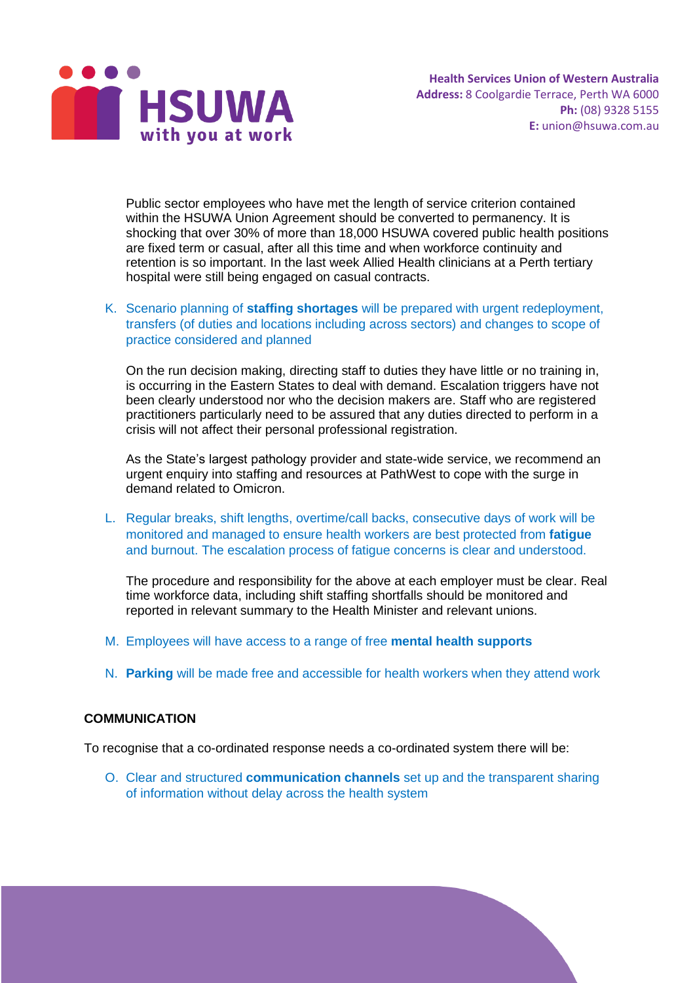

Public sector employees who have met the length of service criterion contained within the HSUWA Union Agreement should be converted to permanency. It is shocking that over 30% of more than 18,000 HSUWA covered public health positions are fixed term or casual, after all this time and when workforce continuity and retention is so important. In the last week Allied Health clinicians at a Perth tertiary hospital were still being engaged on casual contracts.

K. Scenario planning of **staffing shortages** will be prepared with urgent redeployment, transfers (of duties and locations including across sectors) and changes to scope of practice considered and planned

On the run decision making, directing staff to duties they have little or no training in, is occurring in the Eastern States to deal with demand. Escalation triggers have not been clearly understood nor who the decision makers are. Staff who are registered practitioners particularly need to be assured that any duties directed to perform in a crisis will not affect their personal professional registration.

As the State's largest pathology provider and state-wide service, we recommend an urgent enquiry into staffing and resources at PathWest to cope with the surge in demand related to Omicron.

L. Regular breaks, shift lengths, overtime/call backs, consecutive days of work will be monitored and managed to ensure health workers are best protected from **fatigue** and burnout. The escalation process of fatigue concerns is clear and understood.

The procedure and responsibility for the above at each employer must be clear. Real time workforce data, including shift staffing shortfalls should be monitored and reported in relevant summary to the Health Minister and relevant unions.

- M. Employees will have access to a range of free **mental health supports**
- N. **Parking** will be made free and accessible for health workers when they attend work

## **COMMUNICATION**

To recognise that a co-ordinated response needs a co-ordinated system there will be:

O. Clear and structured **communication channels** set up and the transparent sharing of information without delay across the health system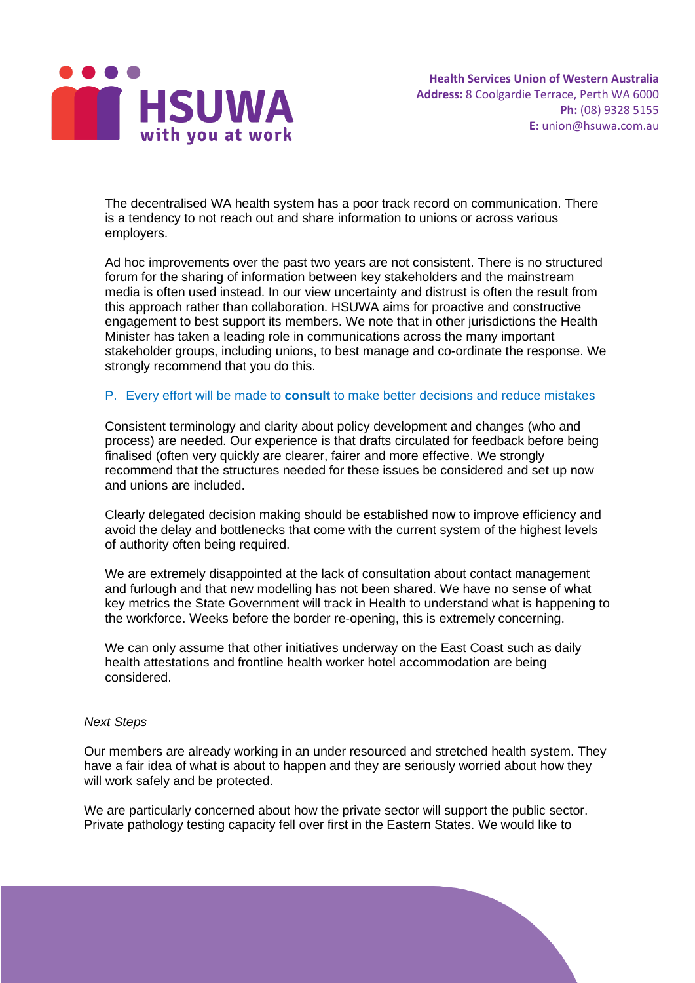

The decentralised WA health system has a poor track record on communication. There is a tendency to not reach out and share information to unions or across various employers.

Ad hoc improvements over the past two years are not consistent. There is no structured forum for the sharing of information between key stakeholders and the mainstream media is often used instead. In our view uncertainty and distrust is often the result from this approach rather than collaboration. HSUWA aims for proactive and constructive engagement to best support its members. We note that in other jurisdictions the Health Minister has taken a leading role in communications across the many important stakeholder groups, including unions, to best manage and co-ordinate the response. We strongly recommend that you do this.

#### P. Every effort will be made to **consult** to make better decisions and reduce mistakes

Consistent terminology and clarity about policy development and changes (who and process) are needed. Our experience is that drafts circulated for feedback before being finalised (often very quickly are clearer, fairer and more effective. We strongly recommend that the structures needed for these issues be considered and set up now and unions are included.

Clearly delegated decision making should be established now to improve efficiency and avoid the delay and bottlenecks that come with the current system of the highest levels of authority often being required.

We are extremely disappointed at the lack of consultation about contact management and furlough and that new modelling has not been shared. We have no sense of what key metrics the State Government will track in Health to understand what is happening to the workforce. Weeks before the border re-opening, this is extremely concerning.

We can only assume that other initiatives underway on the East Coast such as daily health attestations and frontline health worker hotel accommodation are being considered.

#### *Next Steps*

Our members are already working in an under resourced and stretched health system. They have a fair idea of what is about to happen and they are seriously worried about how they will work safely and be protected.

We are particularly concerned about how the private sector will support the public sector. Private pathology testing capacity fell over first in the Eastern States. We would like to